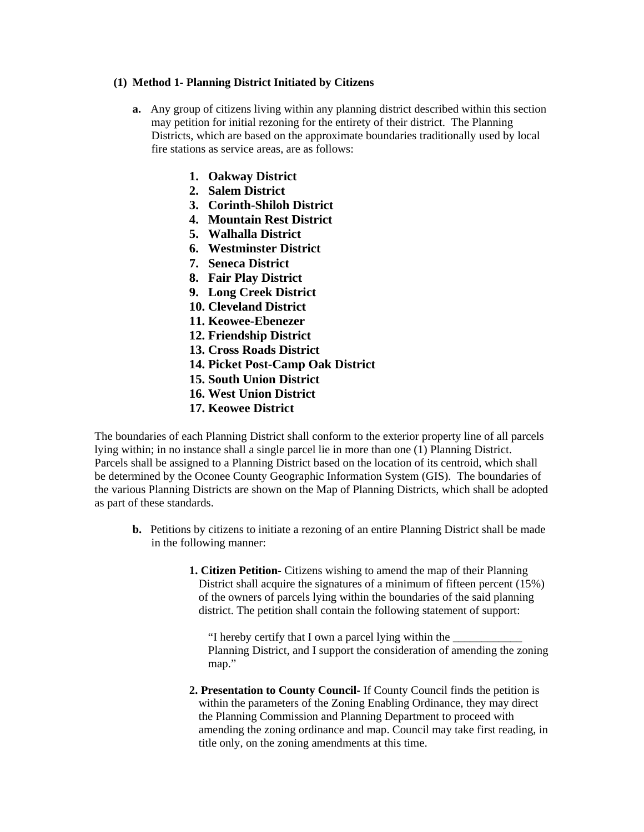## **(1) Method 1- Planning District Initiated by Citizens**

- **a.** Any group of citizens living within any planning district described within this section may petition for initial rezoning for the entirety of their district. The Planning Districts, which are based on the approximate boundaries traditionally used by local fire stations as service areas, are as follows:
	- **1. Oakway District**
	- **2. Salem District**
	- **3. Corinth-Shiloh District**
	- **4. Mountain Rest District**
	- **5. Walhalla District**
	- **6. Westminster District**
	- **7. Seneca District**
	- **8. Fair Play District**
	- **9. Long Creek District**
	- **10. Cleveland District**
	- **11. Keowee-Ebenezer**
	- **12. Friendship District**
	- **13. Cross Roads District**
	- **14. Picket Post-Camp Oak District**
	- **15. South Union District**
	- **16. West Union District**
	- **17. Keowee District**

The boundaries of each Planning District shall conform to the exterior property line of all parcels lying within; in no instance shall a single parcel lie in more than one (1) Planning District. Parcels shall be assigned to a Planning District based on the location of its centroid, which shall be determined by the Oconee County Geographic Information System (GIS). The boundaries of the various Planning Districts are shown on the Map of Planning Districts, which shall be adopted as part of these standards.

- **b.** Petitions by citizens to initiate a rezoning of an entire Planning District shall be made in the following manner:
	- **1. Citizen Petition-** Citizens wishing to amend the map of their Planning District shall acquire the signatures of a minimum of fifteen percent (15%) of the owners of parcels lying within the boundaries of the said planning district. The petition shall contain the following statement of support:

"I hereby certify that I own a parcel lying within the \_\_\_\_\_\_\_\_\_\_\_\_ Planning District, and I support the consideration of amending the zoning map."

**2. Presentation to County Council-** If County Council finds the petition is within the parameters of the Zoning Enabling Ordinance, they may direct the Planning Commission and Planning Department to proceed with amending the zoning ordinance and map. Council may take first reading, in title only, on the zoning amendments at this time.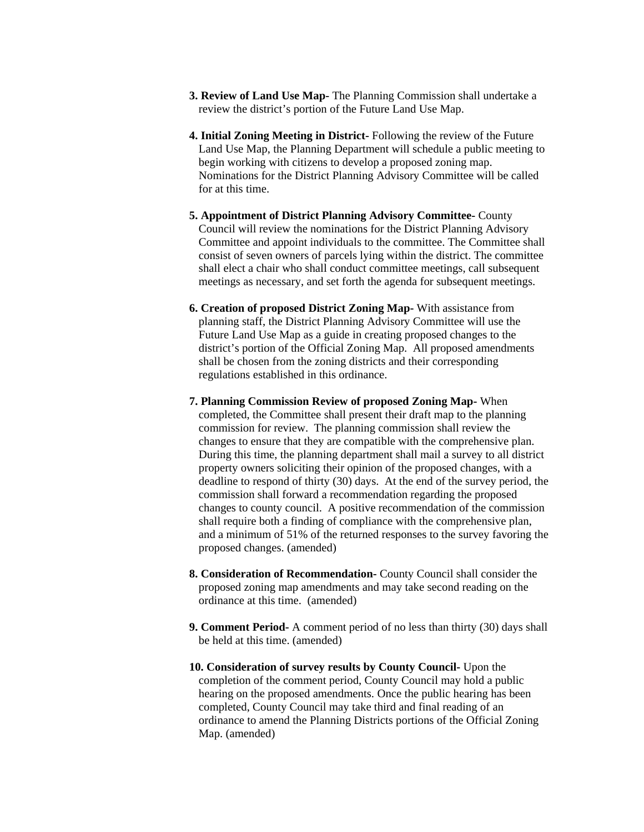- **3. Review of Land Use Map-** The Planning Commission shall undertake a review the district's portion of the Future Land Use Map.
- **4. Initial Zoning Meeting in District-** Following the review of the Future Land Use Map, the Planning Department will schedule a public meeting to begin working with citizens to develop a proposed zoning map. Nominations for the District Planning Advisory Committee will be called for at this time.
- **5. Appointment of District Planning Advisory Committee-** County Council will review the nominations for the District Planning Advisory Committee and appoint individuals to the committee. The Committee shall consist of seven owners of parcels lying within the district. The committee shall elect a chair who shall conduct committee meetings, call subsequent meetings as necessary, and set forth the agenda for subsequent meetings.
- **6. Creation of proposed District Zoning Map-** With assistance from planning staff, the District Planning Advisory Committee will use the Future Land Use Map as a guide in creating proposed changes to the district's portion of the Official Zoning Map. All proposed amendments shall be chosen from the zoning districts and their corresponding regulations established in this ordinance.
- **7. Planning Commission Review of proposed Zoning Map-** When completed, the Committee shall present their draft map to the planning commission for review. The planning commission shall review the changes to ensure that they are compatible with the comprehensive plan. During this time, the planning department shall mail a survey to all district property owners soliciting their opinion of the proposed changes, with a deadline to respond of thirty (30) days. At the end of the survey period, the commission shall forward a recommendation regarding the proposed changes to county council. A positive recommendation of the commission shall require both a finding of compliance with the comprehensive plan, and a minimum of 51% of the returned responses to the survey favoring the proposed changes. (amended)
- **8. Consideration of Recommendation-** County Council shall consider the proposed zoning map amendments and may take second reading on the ordinance at this time. (amended)
- **9. Comment Period-** A comment period of no less than thirty (30) days shall be held at this time. (amended)
- **10. Consideration of survey results by County Council-** Upon the completion of the comment period, County Council may hold a public hearing on the proposed amendments. Once the public hearing has been completed, County Council may take third and final reading of an ordinance to amend the Planning Districts portions of the Official Zoning Map. (amended)